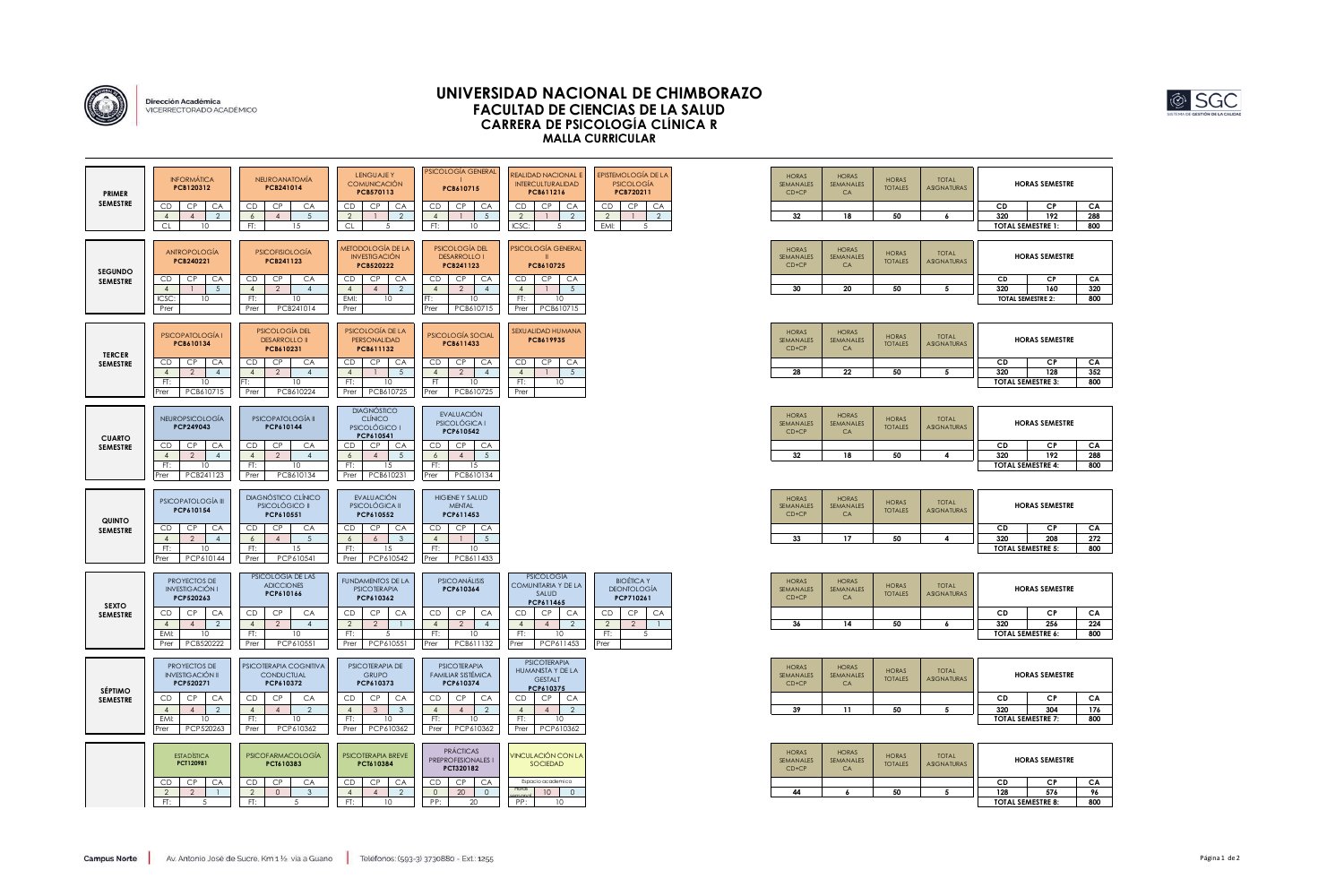

Dirección Académica<br>VICERRECTORADO ACADÉMICO

## **UNIVERSIDAD NACIONAL DE CHIMBORAZO FACULTAD DE CIENCIAS DE LA SALUD CARRERA DE PSICOLOGÍA CLÍNICA R MALLA CURRICULAR**

### **HORAS SEMESTRE**

| СP                 | CА  |
|--------------------|-----|
| 192                | 288 |
| <b>SEMESTRE 1:</b> | 800 |
|                    |     |

| <b>PRIMER</b>                     | <b>INFORMÁTICA</b><br>PCB120312                                                                                                                                  | <b>NEUROANATOMÍA</b><br><b>PCB241014</b>                                                                                                                           | <b>LENGUAJEY</b><br><b>COMUNICACIÓN</b><br>PCB570113                                                                                                             | PSICOLOGÍA GENERAL<br>PCB610715                                                                                                                                         | <b>REALIDAD NACIONAL E</b><br><b>INTERCULTURALIDAD</b><br>PCB611216                                                                                                       | <b>EPISTEMOLOGÍA DE LA</b><br><b>PSICOLOGÍA</b><br>PCB720211                                                                                   | <b>HORAS</b><br>SEMANALES<br>$CD+CP$       | <b>HORAS</b><br>SEMANALES<br><b>CA</b>       | <b>HORAS</b><br><b>TOTALES</b>       | <b>TOTAL</b><br><b>ASIGNATURAS</b>        |                                       | <b>HORAS SEMESTRE</b>                                                 |                              |
|-----------------------------------|------------------------------------------------------------------------------------------------------------------------------------------------------------------|--------------------------------------------------------------------------------------------------------------------------------------------------------------------|------------------------------------------------------------------------------------------------------------------------------------------------------------------|-------------------------------------------------------------------------------------------------------------------------------------------------------------------------|---------------------------------------------------------------------------------------------------------------------------------------------------------------------------|------------------------------------------------------------------------------------------------------------------------------------------------|--------------------------------------------|----------------------------------------------|--------------------------------------|-------------------------------------------|---------------------------------------|-----------------------------------------------------------------------|------------------------------|
| <b>SEMESTRE</b>                   | CP<br><b>CA</b><br>CD.                                                                                                                                           | CP<br>CA<br>CD                                                                                                                                                     | CD<br>CP<br>CA                                                                                                                                                   | CP<br>CD<br>CA                                                                                                                                                          | CP<br>CA<br>CD.                                                                                                                                                           | CD<br>CP<br>CA                                                                                                                                 |                                            |                                              |                                      |                                           | CD                                    | <b>CP</b>                                                             | CA                           |
|                                   | $\overline{2}$<br>$\overline{4}$<br>$\overline{4}$<br><b>CL</b><br>10                                                                                            | $5^{\circ}$<br>$\epsilon$<br>$\overline{4}$<br>FT:<br>15                                                                                                           | $\overline{2}$<br>2<br><b>CL</b><br>5                                                                                                                            | $5\overline{)}$<br>$\overline{4}$<br>FT:<br>10                                                                                                                          | $\overline{2}$<br>$\overline{2}$<br>ICSC:<br>-5                                                                                                                           | 2<br>$\overline{2}$<br>EMI:<br>-5                                                                                                              | 32                                         | 18                                           | 50                                   | -6                                        | 320                                   | 192<br><b>TOTAL SEMESTRE 1:</b>                                       | 288<br>800                   |
| <b>SEGUNDO</b><br><b>SEMESTRE</b> | <b>ANTROPOLOGÍA</b><br>PCB240221<br>CP<br>CD.<br>CA<br>$5^{\circ}$<br>$\overline{4}$<br>ICSC:<br>10 <sup>°</sup><br>Prer                                         | <b>PSICOFISIOLOGÍA</b><br>PCB241123<br>CD<br>CP<br>CA<br>$\overline{4}$<br>2<br>$\overline{4}$<br>FT:<br>10<br>PCB241014<br>Prer                                   | METODOLOGÍA DE LA<br><b>INVESTIGACIÓN</b><br><b>PCB520222</b><br>CD<br>CP<br>CA<br>$\overline{2}$<br>$\overline{4}$<br>$\overline{4}$<br>EMI:<br>10<br>Prer      | PSICOLOGÍA DEL<br><b>DESARROLLO I</b><br>PCB241123<br>CD<br>CP<br>CA<br>2<br>$\overline{4}$<br>$\overline{4}$<br>10<br>PCB610715<br>Prer                                | PSICOLOGÍA GENERAL<br>PCB610725<br>CD<br>CP<br>CA<br>$5\overline{5}$<br>$\overline{4}$<br>FT:<br>10<br>PCB610715<br>Prer                                                  |                                                                                                                                                | <b>HORAS</b><br>SEMANALES<br>$CD+CP$<br>30 | <b>HORAS</b><br>SEMANALES<br>CA<br>20        | <b>HORAS</b><br><b>TOTALES</b><br>50 | <b>TOTAL</b><br><b>ASIGNATURAS</b><br>5   | CD<br>320                             | <b>HORAS SEMESTRE</b><br>CP.<br>160<br>TOTAL SEMESTRE 2:              | CA<br>320<br>800             |
| <b>TERCER</b><br><b>SEMESTRE</b>  | <b>PSICOPATOLOGÍA I</b><br>PCB610134<br>CP<br>CA<br>CD<br>$\overline{4}$<br>2<br>$\overline{4}$<br>FT:<br>10<br>Prer<br>PCB610715                                | PSICOLOGÍA DEL<br><b>DESARROLLO II</b><br>PCB610231<br>CA<br>CD<br>CP<br>2<br>$\overline{4}$<br>$\overline{4}$<br>FT.<br>10<br>Prer<br>PCB610224                   | PSICOLOGÍA DE LA<br>PERSONALIDAD<br>PCB611132<br>CD<br>CP<br>CA<br>$\overline{4}$<br>$5\overline{5}$<br>FT:<br>10 <sup>°</sup><br>Prer<br>PCB610725              | PSICOLOGÍA SOCIAL<br>PCB611433<br>CD.<br>CP<br>CA<br>$\overline{4}$<br>2<br>$\overline{4}$<br>FT.<br>10<br>PCB610725<br>Prer                                            | SEXUALIDAD HUMANA<br>PCB619935<br>CP<br>CA<br>CD<br>$\overline{4}$<br>5 <sup>5</sup><br>FT:<br>10<br>Prer                                                                 |                                                                                                                                                | <b>HORAS</b><br>SEMANALES<br>$CD+CP$<br>28 | <b>HORAS</b><br>SEMANALES<br><b>CA</b><br>22 | <b>HORAS</b><br><b>TOTALES</b><br>50 | <b>TOTAL</b><br><b>ASIGNATURAS</b><br>- 5 | CD<br>320<br><b>TOTAL SEMESTRE 3:</b> | <b>HORAS SEMESTRE</b><br><b>CP</b><br>128                             | CA<br>352<br>800             |
| <b>CUARTO</b><br><b>SEMESTRE</b>  | <b>NEUROPSICOLOGÍA</b><br>PCP249043<br>CP<br>CD.<br>CA<br>2<br>$\overline{4}$<br>$\overline{4}$<br>FT:<br>10<br>PCB241123<br>Prer                                | PSICOPATOLOGÍA II<br>PCP610144<br>CP<br>CA<br>CD<br>$\overline{2}$<br>$\overline{4}$<br>$\overline{4}$<br>FT:<br>10<br>PCB610134<br>Prer                           | <b>DIAGNÓSTICO</b><br><b>CLÍNICO</b><br>PSICOLÓGICO I<br>PCP610541<br>CP<br>CA<br>CD.<br>$5^{\circ}$<br>6<br>$\overline{4}$<br>FT:<br>15<br>PCB610231<br>Prer    | EVALUACIÓN<br><b>PSICOLÓGICA I</b><br>PCP610542<br>CP<br>CA<br>CD<br>5 <sup>5</sup><br>$\overline{4}$<br>6<br>FT:<br>15<br>PCB610134<br>Prer                            |                                                                                                                                                                           |                                                                                                                                                | <b>HORAS</b><br>SEMANALES<br>CD+CP<br>32   | <b>HORAS</b><br>SEMANALES<br>CA<br>18        | <b>HORAS</b><br><b>TOTALES</b><br>50 | <b>TOTAL</b><br><b>ASIGNATURAS</b><br>4   | CD<br>320                             | <b>HORAS SEMESTRE</b><br><b>CP</b><br>192<br><b>TOTAL SEMESTRE 4:</b> | CA<br>288<br>800             |
| <b>QUINTO</b><br><b>SEMESTRE</b>  | PSICOPATOLOGÍA III<br>PCP610154<br>CD<br><b>CP</b><br>CA<br>2<br>$\overline{4}$<br>$\overline{4}$<br>FT:<br>10<br>PCP610144<br>Prer                              | DIAGNÓSTICO CLÍNICO<br>PSICOLÓGICO II<br>PCP610551<br><b>CP</b><br>CD<br>CA<br>5<br>$\overline{4}$<br>6<br>FT:<br>15<br>PCP610541<br>Prer                          | EVALUACIÓN<br>PSICOLÓGICA II<br>PCP610552<br><b>CP</b><br>CD<br>CA<br>$\mathbf{3}$<br>6<br>6<br>FT:<br>15<br>PCP610542<br>Prer                                   | HIGIENE Y SALUD<br><b>MENTAL</b><br>PCP611453<br><b>CP</b><br>CD<br>CA<br>5 <sup>5</sup><br>$\overline{4}$<br>FT:<br>10<br>PCB611433<br>Prer                            |                                                                                                                                                                           |                                                                                                                                                | <b>HORAS</b><br>SEMANALES<br>$CD+CP$<br>33 | <b>HORAS</b><br>SEMANALES<br>CA<br>17        | <b>HORAS</b><br><b>TOTALES</b><br>50 | <b>TOTAL</b><br><b>ASIGNATURAS</b><br>-4  | CD<br>320                             | <b>HORAS SEMESTRE</b><br><b>CP</b><br>208<br><b>TOTAL SEMESTRE 5:</b> | CA<br>272<br>800             |
| <b>SEXTO</b><br><b>SEMESTRE</b>   | PROYECTOS DE<br><b>INVESTIGACIÓN I</b><br>PCP520263<br>CP<br>CA<br>CD<br>$\overline{4}$<br>$\overline{2}$<br>$\overline{4}$<br>EMI:<br>10<br>PCB520222<br>Prer   | PSICOLOGÍA DE LAS<br><b>ADICCIONES</b><br>PCP610166<br>CD<br>CP<br>CA<br>$\overline{4}$<br>$\overline{2}$<br>$\overline{4}$<br>FT:<br>10<br>PCP610551<br>Prer      | <b>FUNDAMENTOS DE LA</b><br><b>PSICOTERAPIA</b><br>PCP610362<br>CD<br><b>CP</b><br>CA<br>$\overline{2}$<br>$\overline{2}$<br>FT:<br>$\cdot$<br>PCP610551<br>Prer | <b>PSICO ANÁLISIS</b><br>PCP610364<br>CP<br>CA<br>CD<br>$\overline{4}$<br>$\overline{2}$<br>$\overline{4}$<br>FT:<br>10<br>PCB611132<br>Prer                            | <b>PSICOLOGÍA</b><br><b>COMUNITARIA Y DE LA</b><br>SALUD<br>PCP611465<br>CD<br><b>CP</b><br>CA<br>2<br>$\overline{4}$<br>$\overline{4}$<br>FT:<br>10<br>PCP611453<br>Prer | <b>BIOÉTICAY</b><br><b>DEONTOLOGÍA</b><br>PCP710261<br>CP<br>CA<br>CD<br>$\overline{2}$<br>$\overline{2}$<br>$\mathbf{1}$<br>FT:<br>.5<br>Prer | <b>HORAS</b><br>SEMANALES<br>$CD+CP$<br>36 | <b>HORAS</b><br>SEMANALES<br><b>CA</b><br>14 | <b>HORAS</b><br><b>TOTALES</b><br>50 | <b>TOTAL</b><br><b>ASIGNATURAS</b><br>-6  | CD<br>320                             | <b>HORAS SEMESTRE</b><br><b>CP</b><br>256<br><b>TOTAL SEMESTRE 6:</b> | CA<br>22 <sub>4</sub><br>800 |
| <b>SÉPTIMO</b><br><b>SEMESTRE</b> | PROYECTOS DE<br><b>INVESTIGACION II</b><br>PCP520271<br>CP<br>CD.<br>CA<br>$\overline{4}$<br>$\overline{2}$<br>$\overline{4}$<br>EMI:<br>10<br>Prer<br>PCP520263 | PSICOTERAPIA COGNITIVA<br><b>CONDUCTUAL</b><br>PCP610372<br>CD<br>CP<br>CA<br>$\overline{2}$<br>$\overline{4}$<br>$\overline{4}$<br>FT:<br>10<br>PCP610362<br>Prer | PSICOTERAPIA DE<br><b>GRUPO</b><br>PCP610373<br>CP<br>CD<br>CA<br>$\overline{4}$<br>$\mathbf{3}$<br>$\overline{3}$<br>FT:<br>10<br>PCP610362<br>Prer             | <b>PSICOTERAPIA</b><br><b>FAMILIAR SISTÉMICA</b><br>PCP610374<br>CP<br>CD<br>CA<br>$\overline{4}$<br>$\overline{4}$<br>$\overline{2}$<br>FT:<br>10<br>PCP610362<br>Prer | <b>PSICOTERAPIA</b><br>HUMANISTA Y DE LA<br><b>GESTALT</b><br>PCP610375<br>CP<br>CA<br>CD<br>2<br>$\overline{4}$<br>$\overline{4}$<br>FT:<br>10<br>PCP610362<br>Prer      |                                                                                                                                                | <b>HORAS</b><br>SEMANALES<br>$CD+CP$<br>39 | <b>HORAS</b><br>SEMANALES<br>CA<br>11        | <b>HORAS</b><br><b>TOTALES</b><br>50 | <b>TOTAL</b><br><b>ASIGNATURAS</b><br>-5  | CD<br>320                             | <b>HORAS SEMESTRE</b><br>CP.<br>304<br>TOTAL SEMESTRE 7:              | CA<br>17 <sub>6</sub><br>800 |
|                                   | <b>ESTADÍSTICA</b><br>PCT120981<br>CP<br>CA<br>CD.                                                                                                               | <b>PSICOFARMACOLOGÍA</b><br>PCT610383<br>CP<br>CA<br>CD                                                                                                            | PSICOTERAPIA BREVE<br>PCT610384<br>CP<br>CD<br>CA                                                                                                                | <b>PRÁCTICAS</b><br>PREPROFESIONALES I<br>PCT320182<br>CP<br>CA<br>CD                                                                                                   | VINCULACIÓN CON LA<br>SOCIEDAD<br>Espacio academico                                                                                                                       |                                                                                                                                                | <b>HORAS</b><br>SEMANALES<br>$CD+CP$       | <b>HORAS</b><br>SEMANALES<br>CA              | <b>HORAS</b><br><b>TOTALES</b>       | <b>TOTAL</b><br><b>ASIGNATURAS</b>        | CD                                    | <b>HORAS SEMESTRE</b><br>CP.                                          | CA                           |
|                                   | $\overline{2}$<br>$\overline{2}$<br>$\overline{1}$                                                                                                               | $\overline{2}$<br>$\circ$<br>$\overline{\mathbf{3}}$                                                                                                               | $\overline{4}$<br>$\overline{2}$<br>$\overline{4}$                                                                                                               | $\circ$<br>20<br>$\overline{0}$                                                                                                                                         | Horas<br>10<br>$\overline{0}$                                                                                                                                             |                                                                                                                                                | 44                                         | 6                                            | 50                                   | 5                                         | 128                                   | 576                                                                   | 96                           |
|                                   | FT:<br>-5                                                                                                                                                        | FT:<br>5                                                                                                                                                           | FT:<br>10                                                                                                                                                        | PP:<br>20                                                                                                                                                               | PP:<br>10                                                                                                                                                                 |                                                                                                                                                |                                            |                                              |                                      |                                           |                                       | <b>TOTAL SEMESTRE 8:</b>                                              | 800                          |
|                                   |                                                                                                                                                                  |                                                                                                                                                                    |                                                                                                                                                                  |                                                                                                                                                                         |                                                                                                                                                                           |                                                                                                                                                |                                            |                                              |                                      |                                           |                                       |                                                                       |                              |

#### **HORAS SEMESTRE**

| СP                 | CА  |
|--------------------|-----|
| 160                | 320 |
| <b>SEMESTRE 2:</b> | 800 |

### **HORAS SEMESTRE**

| СD                       | СP  | CА  |
|--------------------------|-----|-----|
| 320                      | 128 | 352 |
| <b>TOTAL SEMESTRE 3:</b> | 800 |     |

# **HORAS SEMESTRE**

|                    |     | CА  |
|--------------------|-----|-----|
|                    | 192 | 288 |
| <b>SEMESTRE 4:</b> |     | 800 |

### **HORAS SEMESTRE**

| CD                       | СP  | CА  |
|--------------------------|-----|-----|
| 320                      | 208 | 272 |
| <b>TOTAL SEMESTRE 5:</b> | 800 |     |

# **HORAS SEMESTRE**

| СP                 | CА  |
|--------------------|-----|
| 256                | 224 |
| <b>SEMESTRE 6:</b> | 800 |
|                    |     |

### **HORAS SEMESTRE**

|                    | СP  | CА  |
|--------------------|-----|-----|
|                    | 304 | 176 |
| <b>SEMESTRE 7:</b> |     | 800 |
|                    |     |     |

| <b>HORAS SEMESTRE</b>     |     |    |  |  |
|---------------------------|-----|----|--|--|
|                           | СP  | СA |  |  |
|                           | 576 | 96 |  |  |
| 800<br><b>SEMESTRE 8:</b> |     |    |  |  |